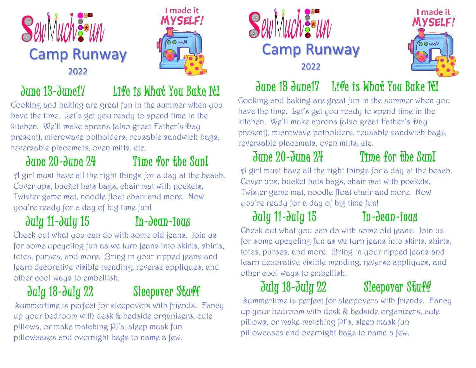



### June 13-June17 Life is What You Bake It!

Cooking and baking are great fun in the summer when you have the time. Let's get you ready to spend time in the kitchen. We'll make aprons (also great Father's Day present), microwave potholders, reusable sandwich bags, reversable placemats, oven mitts, etc.

## June 20-June 24 Time for the Sun!

A girl must have all the right things for a day at the beach. Cover ups, bucket hats bags, chair mat with pockets, Twister game mat, noodle float chair and more. Now you're ready for a day of big time fun!

## July 11-July 15 In-Jean-ious

Check out what you can do with some old jeans. Join us for some upcycling fun as we turn jeans into skirts, shirts, totes, purses, and more. Bring in your ripped jeans and learn decorative visible mending, reverse appliques, and other cool ways to embellish.

### July 18-July 22 Sleepover Stuff

Summertime is perfect for sleepovers with friends. Fancy up your bedroom with desk & bedside organizers, cute pillows, or make matching PJ's, sleep mask fun pillowcases and overnight bags to name a few.





### June 18 June 17 Life is What You Bake It!

Cooking and baking are great fun in the summer when you have the time. Let's get you ready to spend time in the kitchen. We'll make aprons (also great Father's Day present), microwave potholders, reusable sandwich bags, reversable placemats, oven mitts, etc.

# June 20-June 24 Time for the Sun!

A girl must have all the right things for a day at the beach. Cover ups, bucket hats bags, chair mat with pockets, Twister game mat, noodle float chair and more. Now you're ready for a day of big time fun!

# July 11-July 15 In-Jean-ious

Check out what you can do with some old jeans. Join us for some upcycling fun as we turn jeans into skirts, shirts, totes, purses, and more. Bring in your ripped jeans and learn decorative visible mending, reverse appliques, and other cool ways to embellish.

# July 18-July 22 Sleepover Stuff

Summertime is perfect for sleepovers with friends. Fancy up your bedroom with desk & bedside organizers, cute pillows, or make matching PJ's, sleep mask fun pillowcases and overnight bags to name a few.